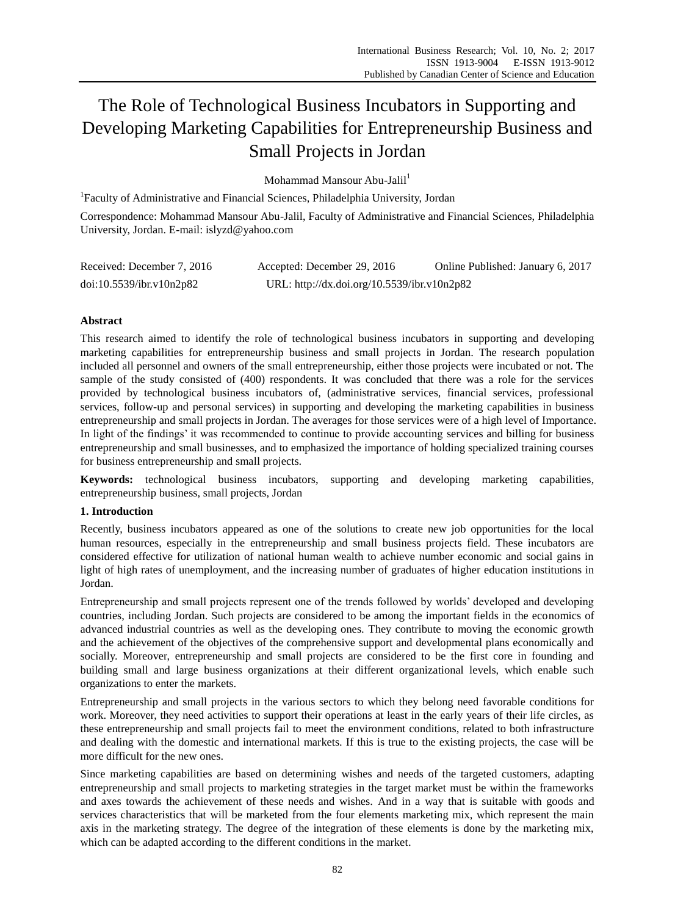# The Role of Technological Business Incubators in Supporting and Developing Marketing Capabilities for Entrepreneurship Business and Small Projects in Jordan

Mohammad Mansour Abu-Jalil<sup>1</sup>

<sup>1</sup>Faculty of Administrative and Financial Sciences, Philadelphia University, Jordan

Correspondence: Mohammad Mansour Abu-Jalil, Faculty of Administrative and Financial Sciences, Philadelphia University, Jordan. E-mail: islyzd@yahoo.com

| Received: December 7, 2016 | Accepted: December 29, 2016                 | Online Published: January 6, 2017 |
|----------------------------|---------------------------------------------|-----------------------------------|
| doi:10.5539/ibr.v10n2p82   | URL: http://dx.doi.org/10.5539/ibr.v10n2p82 |                                   |

# **Abstract**

This research aimed to identify the role of technological business incubators in supporting and developing marketing capabilities for entrepreneurship business and small projects in Jordan. The research population included all personnel and owners of the small entrepreneurship, either those projects were incubated or not. The sample of the study consisted of (400) respondents. It was concluded that there was a role for the services provided by technological business incubators of, (administrative services, financial services, professional services, follow-up and personal services) in supporting and developing the marketing capabilities in business entrepreneurship and small projects in Jordan. The averages for those services were of a high level of Importance. In light of the findings' it was recommended to continue to provide accounting services and billing for business entrepreneurship and small businesses, and to emphasized the importance of holding specialized training courses for business entrepreneurship and small projects.

**Keywords:** technological business incubators, supporting and developing marketing capabilities, entrepreneurship business, small projects, Jordan

## **1. Introduction**

Recently, business incubators appeared as one of the solutions to create new job opportunities for the local human resources, especially in the entrepreneurship and small business projects field. These incubators are considered effective for utilization of national human wealth to achieve number economic and social gains in light of high rates of unemployment, and the increasing number of graduates of higher education institutions in Jordan.

Entrepreneurship and small projects represent one of the trends followed by worlds' developed and developing countries, including Jordan. Such projects are considered to be among the important fields in the economics of advanced industrial countries as well as the developing ones. They contribute to moving the economic growth and the achievement of the objectives of the comprehensive support and developmental plans economically and socially. Moreover, entrepreneurship and small projects are considered to be the first core in founding and building small and large business organizations at their different organizational levels, which enable such organizations to enter the markets.

Entrepreneurship and small projects in the various sectors to which they belong need favorable conditions for work. Moreover, they need activities to support their operations at least in the early years of their life circles, as these entrepreneurship and small projects fail to meet the environment conditions, related to both infrastructure and dealing with the domestic and international markets. If this is true to the existing projects, the case will be more difficult for the new ones.

Since marketing capabilities are based on determining wishes and needs of the targeted customers, adapting entrepreneurship and small projects to marketing strategies in the target market must be within the frameworks and axes towards the achievement of these needs and wishes. And in a way that is suitable with goods and services characteristics that will be marketed from the four elements marketing mix, which represent the main axis in the marketing strategy. The degree of the integration of these elements is done by the marketing mix, which can be adapted according to the different conditions in the market.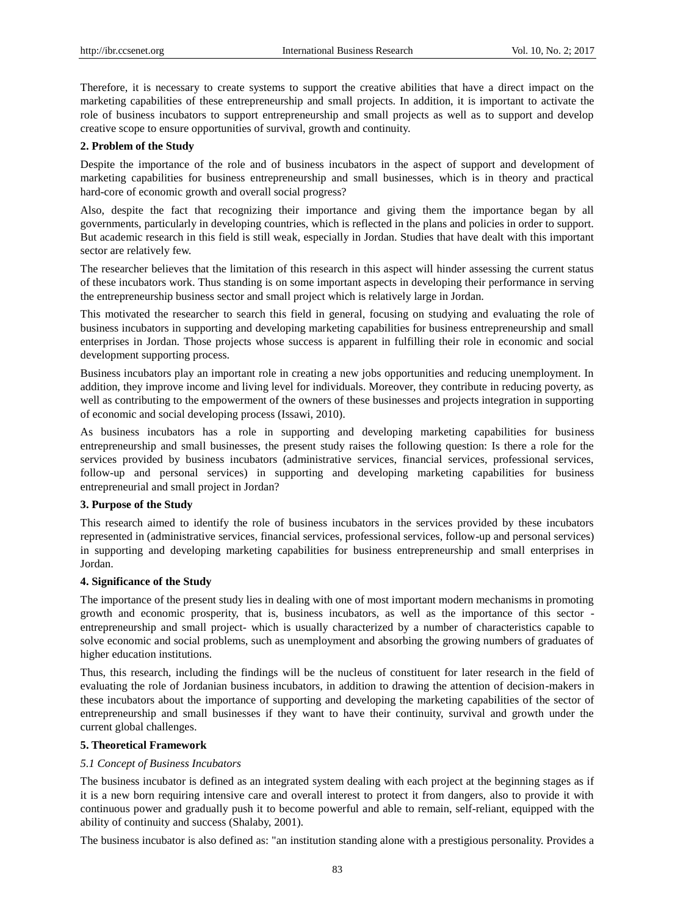Therefore, it is necessary to create systems to support the creative abilities that have a direct impact on the marketing capabilities of these entrepreneurship and small projects. In addition, it is important to activate the role of business incubators to support entrepreneurship and small projects as well as to support and develop creative scope to ensure opportunities of survival, growth and continuity.

#### **2. Problem of the Study**

Despite the importance of the role and of business incubators in the aspect of support and development of marketing capabilities for business entrepreneurship and small businesses, which is in theory and practical hard-core of economic growth and overall social progress?

Also, despite the fact that recognizing their importance and giving them the importance began by all governments, particularly in developing countries, which is reflected in the plans and policies in order to support. But academic research in this field is still weak, especially in Jordan. Studies that have dealt with this important sector are relatively few.

The researcher believes that the limitation of this research in this aspect will hinder assessing the current status of these incubators work. Thus standing is on some important aspects in developing their performance in serving the entrepreneurship business sector and small project which is relatively large in Jordan.

This motivated the researcher to search this field in general, focusing on studying and evaluating the role of business incubators in supporting and developing marketing capabilities for business entrepreneurship and small enterprises in Jordan. Those projects whose success is apparent in fulfilling their role in economic and social development supporting process.

Business incubators play an important role in creating a new jobs opportunities and reducing unemployment. In addition, they improve income and living level for individuals. Moreover, they contribute in reducing poverty, as well as contributing to the empowerment of the owners of these businesses and projects integration in supporting of economic and social developing process (Issawi, 2010).

As business incubators has a role in supporting and developing marketing capabilities for business entrepreneurship and small businesses, the present study raises the following question: Is there a role for the services provided by business incubators (administrative services, financial services, professional services, follow-up and personal services) in supporting and developing marketing capabilities for business entrepreneurial and small project in Jordan?

#### **3. Purpose of the Study**

This research aimed to identify the role of business incubators in the services provided by these incubators represented in (administrative services, financial services, professional services, follow-up and personal services) in supporting and developing marketing capabilities for business entrepreneurship and small enterprises in Jordan.

#### **4. Significance of the Study**

The importance of the present study lies in dealing with one of most important modern mechanisms in promoting growth and economic prosperity, that is, business incubators, as well as the importance of this sector entrepreneurship and small project- which is usually characterized by a number of characteristics capable to solve economic and social problems, such as unemployment and absorbing the growing numbers of graduates of higher education institutions.

Thus, this research, including the findings will be the nucleus of constituent for later research in the field of evaluating the role of Jordanian business incubators, in addition to drawing the attention of decision-makers in these incubators about the importance of supporting and developing the marketing capabilities of the sector of entrepreneurship and small businesses if they want to have their continuity, survival and growth under the current global challenges.

## **5. Theoretical Framework**

## *5.1 Concept of Business Incubators*

The business incubator is defined as an integrated system dealing with each project at the beginning stages as if it is a new born requiring intensive care and overall interest to protect it from dangers, also to provide it with continuous power and gradually push it to become powerful and able to remain, self-reliant, equipped with the ability of continuity and success (Shalaby, 2001).

The business incubator is also defined as: "an institution standing alone with a prestigious personality. Provides a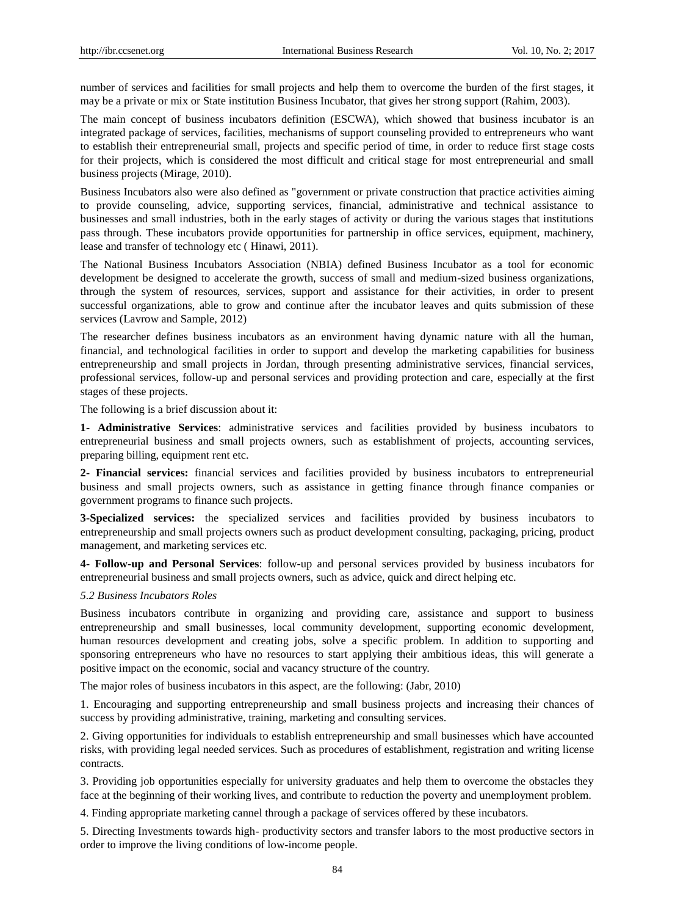number of services and facilities for small projects and help them to overcome the burden of the first stages, it may be a private or mix or State institution Business Incubator, that gives her strong support (Rahim, 2003).

The main concept of business incubators definition (ESCWA), which showed that business incubator is an integrated package of services, facilities, mechanisms of support counseling provided to entrepreneurs who want to establish their entrepreneurial small, projects and specific period of time, in order to reduce first stage costs for their projects, which is considered the most difficult and critical stage for most entrepreneurial and small business projects (Mirage, 2010).

Business Incubators also were also defined as "government or private construction that practice activities aiming to provide counseling, advice, supporting services, financial, administrative and technical assistance to businesses and small industries, both in the early stages of activity or during the various stages that institutions pass through. These incubators provide opportunities for partnership in office services, equipment, machinery, lease and transfer of technology etc ( Hinawi, 2011).

The National Business Incubators Association (NBIA) defined Business Incubator as a tool for economic development be designed to accelerate the growth, success of small and medium-sized business organizations, through the system of resources, services, support and assistance for their activities, in order to present successful organizations, able to grow and continue after the incubator leaves and quits submission of these services (Lavrow and Sample, 2012)

The researcher defines business incubators as an environment having dynamic nature with all the human, financial, and technological facilities in order to support and develop the marketing capabilities for business entrepreneurship and small projects in Jordan, through presenting administrative services, financial services, professional services, follow-up and personal services and providing protection and care, especially at the first stages of these projects.

The following is a brief discussion about it:

**1**- **Administrative Services**: administrative services and facilities provided by business incubators to entrepreneurial business and small projects owners, such as establishment of projects, accounting services, preparing billing, equipment rent etc.

**2- Financial services:** financial services and facilities provided by business incubators to entrepreneurial business and small projects owners, such as assistance in getting finance through finance companies or government programs to finance such projects.

**3-Specialized services:** the specialized services and facilities provided by business incubators to entrepreneurship and small projects owners such as product development consulting, packaging, pricing, product management, and marketing services etc.

**4- Follow-up and Personal Services**: follow-up and personal services provided by business incubators for entrepreneurial business and small projects owners, such as advice, quick and direct helping etc.

## *5.2 Business Incubators Roles*

Business incubators contribute in organizing and providing care, assistance and support to business entrepreneurship and small businesses, local community development, supporting economic development, human resources development and creating jobs, solve a specific problem. In addition to supporting and sponsoring entrepreneurs who have no resources to start applying their ambitious ideas, this will generate a positive impact on the economic, social and vacancy structure of the country.

The major roles of business incubators in this aspect, are the following: (Jabr, 2010)

1. Encouraging and supporting entrepreneurship and small business projects and increasing their chances of success by providing administrative, training, marketing and consulting services.

2. Giving opportunities for individuals to establish entrepreneurship and small businesses which have accounted risks, with providing legal needed services. Such as procedures of establishment, registration and writing license contracts.

3. Providing job opportunities especially for university graduates and help them to overcome the obstacles they face at the beginning of their working lives, and contribute to reduction the poverty and unemployment problem.

4. Finding appropriate marketing cannel through a package of services offered by these incubators.

5. Directing Investments towards high- productivity sectors and transfer labors to the most productive sectors in order to improve the living conditions of low-income people.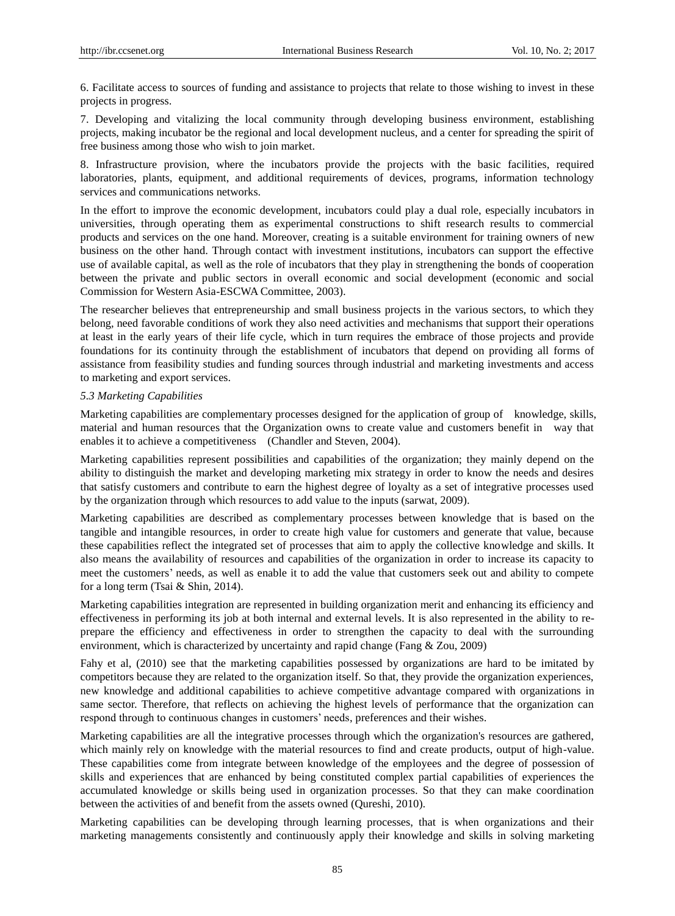6. Facilitate access to sources of funding and assistance to projects that relate to those wishing to invest in these projects in progress.

7. Developing and vitalizing the local community through developing business environment, establishing projects, making incubator be the regional and local development nucleus, and a center for spreading the spirit of free business among those who wish to join market.

8. Infrastructure provision, where the incubators provide the projects with the basic facilities, required laboratories, plants, equipment, and additional requirements of devices, programs, information technology services and communications networks.

In the effort to improve the economic development, incubators could play a dual role, especially incubators in universities, through operating them as experimental constructions to shift research results to commercial products and services on the one hand. Moreover, creating is a suitable environment for training owners of new business on the other hand. Through contact with investment institutions, incubators can support the effective use of available capital, as well as the role of incubators that they play in strengthening the bonds of cooperation between the private and public sectors in overall economic and social development (economic and social Commission for Western Asia-ESCWA Committee, 2003).

The researcher believes that entrepreneurship and small business projects in the various sectors, to which they belong, need favorable conditions of work they also need activities and mechanisms that support their operations at least in the early years of their life cycle, which in turn requires the embrace of those projects and provide foundations for its continuity through the establishment of incubators that depend on providing all forms of assistance from feasibility studies and funding sources through industrial and marketing investments and access to marketing and export services.

#### *5.3 Marketing Capabilities*

Marketing capabilities are complementary processes designed for the application of group of knowledge, skills, material and human resources that the Organization owns to create value and customers benefit in way that enables it to achieve a competitiveness (Chandler and Steven, 2004).

Marketing capabilities represent possibilities and capabilities of the organization; they mainly depend on the ability to distinguish the market and developing marketing mix strategy in order to know the needs and desires that satisfy customers and contribute to earn the highest degree of loyalty as a set of integrative processes used by the organization through which resources to add value to the inputs (sarwat, 2009).

Marketing capabilities are described as complementary processes between knowledge that is based on the tangible and intangible resources, in order to create high value for customers and generate that value, because these capabilities reflect the integrated set of processes that aim to apply the collective knowledge and skills. It also means the availability of resources and capabilities of the organization in order to increase its capacity to meet the customers' needs, as well as enable it to add the value that customers seek out and ability to compete for a long term (Tsai & Shin, 2014).

Marketing capabilities integration are represented in building organization merit and enhancing its efficiency and effectiveness in performing its job at both internal and external levels. It is also represented in the ability to reprepare the efficiency and effectiveness in order to strengthen the capacity to deal with the surrounding environment, which is characterized by uncertainty and rapid change (Fang & Zou, 2009)

Fahy et al, (2010) see that the marketing capabilities possessed by organizations are hard to be imitated by competitors because they are related to the organization itself. So that, they provide the organization experiences, new knowledge and additional capabilities to achieve competitive advantage compared with organizations in same sector. Therefore, that reflects on achieving the highest levels of performance that the organization can respond through to continuous changes in customers' needs, preferences and their wishes.

Marketing capabilities are all the integrative processes through which the organization's resources are gathered, which mainly rely on knowledge with the material resources to find and create products, output of high-value. These capabilities come from integrate between knowledge of the employees and the degree of possession of skills and experiences that are enhanced by being constituted complex partial capabilities of experiences the accumulated knowledge or skills being used in organization processes. So that they can make coordination between the activities of and benefit from the assets owned (Qureshi, 2010).

Marketing capabilities can be developing through learning processes, that is when organizations and their marketing managements consistently and continuously apply their knowledge and skills in solving marketing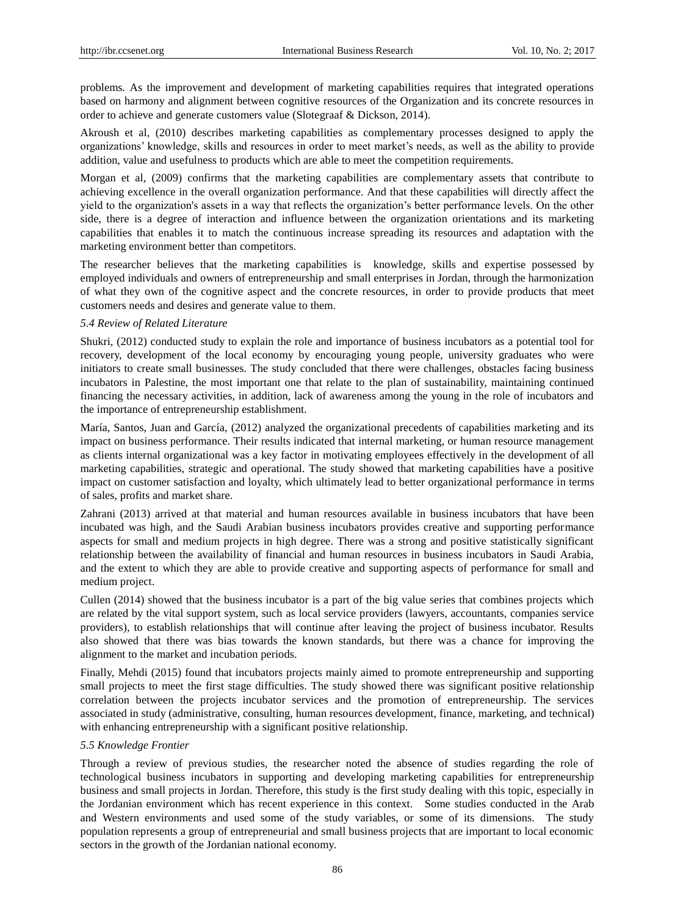problems. As the improvement and development of marketing capabilities requires that integrated operations based on harmony and alignment between cognitive resources of the Organization and its concrete resources in order to achieve and generate customers value (Slotegraaf & Dickson, 2014).

Akroush et al, (2010) describes marketing capabilities as complementary processes designed to apply the organizations' knowledge, skills and resources in order to meet market's needs, as well as the ability to provide addition, value and usefulness to products which are able to meet the competition requirements.

Morgan et al, (2009) confirms that the marketing capabilities are complementary assets that contribute to achieving excellence in the overall organization performance. And that these capabilities will directly affect the yield to the organization's assets in a way that reflects the organization's better performance levels. On the other side, there is a degree of interaction and influence between the organization orientations and its marketing capabilities that enables it to match the continuous increase spreading its resources and adaptation with the marketing environment better than competitors.

The researcher believes that the marketing capabilities is knowledge, skills and expertise possessed by employed individuals and owners of entrepreneurship and small enterprises in Jordan, through the harmonization of what they own of the cognitive aspect and the concrete resources, in order to provide products that meet customers needs and desires and generate value to them.

#### *5.4 Review of Related Literature*

Shukri, (2012) conducted study to explain the role and importance of business incubators as a potential tool for recovery, development of the local economy by encouraging young people, university graduates who were initiators to create small businesses. The study concluded that there were challenges, obstacles facing business incubators in Palestine, the most important one that relate to the plan of sustainability, maintaining continued financing the necessary activities, in addition, lack of awareness among the young in the role of incubators and the importance of entrepreneurship establishment.

Mar *f*a, Santos, Juan and Garc *f*a, (2012) analyzed the organizational precedents of capabilities marketing and its impact on business performance. Their results indicated that internal marketing, or human resource management as clients internal organizational was a key factor in motivating employees effectively in the development of all marketing capabilities, strategic and operational. The study showed that marketing capabilities have a positive impact on customer satisfaction and loyalty, which ultimately lead to better organizational performance in terms of sales, profits and market share.

Zahrani (2013) arrived at that material and human resources available in business incubators that have been incubated was high, and the Saudi Arabian business incubators provides creative and supporting performance aspects for small and medium projects in high degree. There was a strong and positive statistically significant relationship between the availability of financial and human resources in business incubators in Saudi Arabia, and the extent to which they are able to provide creative and supporting aspects of performance for small and medium project.

Cullen (2014) showed that the business incubator is a part of the big value series that combines projects which are related by the vital support system, such as local service providers (lawyers, accountants, companies service providers), to establish relationships that will continue after leaving the project of business incubator. Results also showed that there was bias towards the known standards, but there was a chance for improving the alignment to the market and incubation periods.

Finally, Mehdi (2015) found that incubators projects mainly aimed to promote entrepreneurship and supporting small projects to meet the first stage difficulties. The study showed there was significant positive relationship correlation between the projects incubator services and the promotion of entrepreneurship. The services associated in study (administrative, consulting, human resources development, finance, marketing, and technical) with enhancing entrepreneurship with a significant positive relationship.

## *5.5 Knowledge Frontier*

Through a review of previous studies, the researcher noted the absence of studies regarding the role of technological business incubators in supporting and developing marketing capabilities for entrepreneurship business and small projects in Jordan. Therefore, this study is the first study dealing with this topic, especially in the Jordanian environment which has recent experience in this context. Some studies conducted in the Arab and Western environments and used some of the study variables, or some of its dimensions. The study population represents a group of entrepreneurial and small business projects that are important to local economic sectors in the growth of the Jordanian national economy.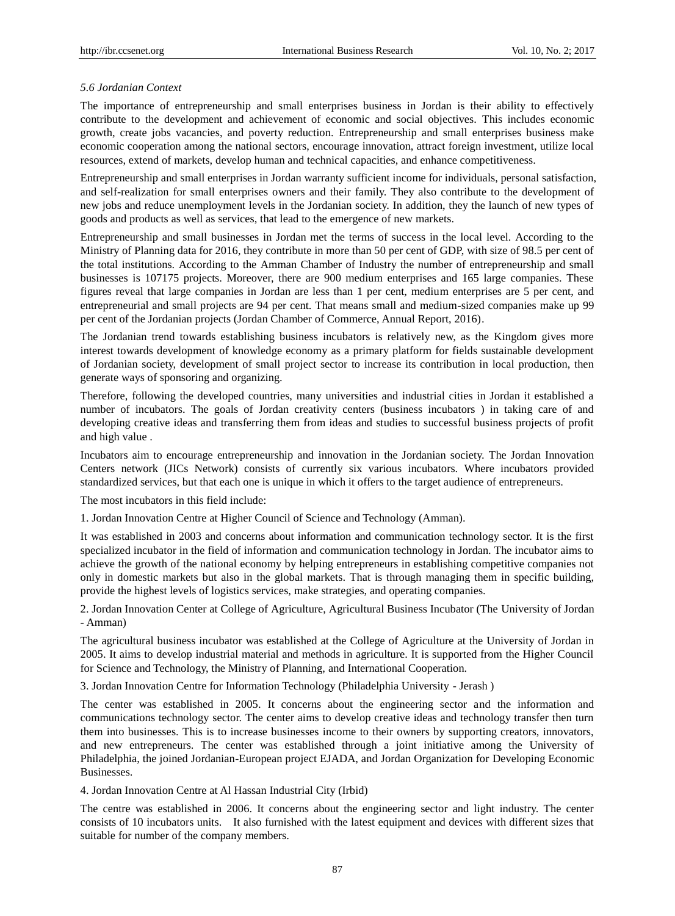## *5.6 Jordanian Context*

The importance of entrepreneurship and small enterprises business in Jordan is their ability to effectively contribute to the development and achievement of economic and social objectives. This includes economic growth, create jobs vacancies, and poverty reduction. Entrepreneurship and small enterprises business make economic cooperation among the national sectors, encourage innovation, attract foreign investment, utilize local resources, extend of markets, develop human and technical capacities, and enhance competitiveness.

Entrepreneurship and small enterprises in Jordan warranty sufficient income for individuals, personal satisfaction, and self-realization for small enterprises owners and their family. They also contribute to the development of new jobs and reduce unemployment levels in the Jordanian society. In addition, they the launch of new types of goods and products as well as services, that lead to the emergence of new markets.

Entrepreneurship and small businesses in Jordan met the terms of success in the local level. According to the Ministry of Planning data for 2016, they contribute in more than 50 per cent of GDP, with size of 98.5 per cent of the total institutions. According to the Amman Chamber of Industry the number of entrepreneurship and small businesses is 107175 projects. Moreover, there are 900 medium enterprises and 165 large companies. These figures reveal that large companies in Jordan are less than 1 per cent, medium enterprises are 5 per cent, and entrepreneurial and small projects are 94 per cent. That means small and medium-sized companies make up 99 per cent of the Jordanian projects (Jordan Chamber of Commerce, Annual Report, 2016).

The Jordanian trend towards establishing business incubators is relatively new, as the Kingdom gives more interest towards development of knowledge economy as a primary platform for fields sustainable development of Jordanian society, development of small project sector to increase its contribution in local production, then generate ways of sponsoring and organizing.

Therefore, following the developed countries, many universities and industrial cities in Jordan it established a number of incubators. The goals of Jordan creativity centers (business incubators ) in taking care of and developing creative ideas and transferring them from ideas and studies to successful business projects of profit and high value .

Incubators aim to encourage entrepreneurship and innovation in the Jordanian society. The Jordan Innovation Centers network (JICs Network) consists of currently six various incubators. Where incubators provided standardized services, but that each one is unique in which it offers to the target audience of entrepreneurs.

The most incubators in this field include:

1. Jordan Innovation Centre at Higher Council of Science and Technology (Amman).

It was established in 2003 and concerns about information and communication technology sector. It is the first specialized incubator in the field of information and communication technology in Jordan. The incubator aims to achieve the growth of the national economy by helping entrepreneurs in establishing competitive companies not only in domestic markets but also in the global markets. That is through managing them in specific building, provide the highest levels of logistics services, make strategies, and operating companies.

2. Jordan Innovation Center at College of Agriculture, Agricultural Business Incubator (The University of Jordan - Amman)

The agricultural business incubator was established at the College of Agriculture at the University of Jordan in 2005. It aims to develop industrial material and methods in agriculture. It is supported from the Higher Council for Science and Technology, the Ministry of Planning, and International Cooperation.

3. Jordan Innovation Centre for Information Technology (Philadelphia University - Jerash )

The center was established in 2005. It concerns about the engineering sector and the information and communications technology sector. The center aims to develop creative ideas and technology transfer then turn them into businesses. This is to increase businesses income to their owners by supporting creators, innovators, and new entrepreneurs. The center was established through a joint initiative among the University of Philadelphia, the joined Jordanian-European project EJADA, and Jordan Organization for Developing Economic Businesses.

4. Jordan Innovation Centre at Al Hassan Industrial City (Irbid)

The centre was established in 2006. It concerns about the engineering sector and light industry. The center consists of 10 incubators units. It also furnished with the latest equipment and devices with different sizes that suitable for number of the company members.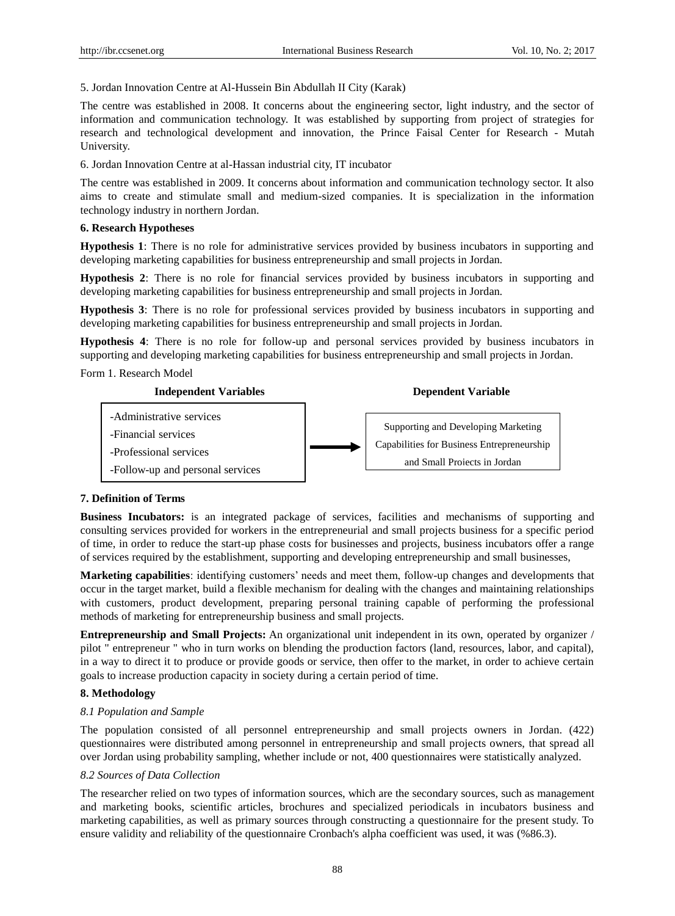5. Jordan Innovation Centre at Al-Hussein Bin Abdullah II City (Karak)

The centre was established in 2008. It concerns about the engineering sector, light industry, and the sector of information and communication technology. It was established by supporting from project of strategies for research and technological development and innovation, the Prince Faisal Center for Research - Mutah University.

6. Jordan Innovation Centre at al-Hassan industrial city, IT incubator

The centre was established in 2009. It concerns about information and communication technology sector. It also aims to create and stimulate small and medium-sized companies. It is specialization in the information technology industry in northern Jordan.

#### **6. Research Hypotheses**

**Hypothesis 1**: There is no role for administrative services provided by business incubators in supporting and developing marketing capabilities for business entrepreneurship and small projects in Jordan.

**Hypothesis 2**: There is no role for financial services provided by business incubators in supporting and developing marketing capabilities for business entrepreneurship and small projects in Jordan.

**Hypothesis 3**: There is no role for professional services provided by business incubators in supporting and developing marketing capabilities for business entrepreneurship and small projects in Jordan.

**Hypothesis 4**: There is no role for follow-up and personal services provided by business incubators in supporting and developing marketing capabilities for business entrepreneurship and small projects in Jordan.

Form 1. Research Model



## **7. Definition of Terms**

**Business Incubators:** is an integrated package of services, facilities and mechanisms of supporting and consulting services provided for workers in the entrepreneurial and small projects business for a specific period of time, in order to reduce the start-up phase costs for businesses and projects, business incubators offer a range of services required by the establishment, supporting and developing entrepreneurship and small businesses,

**Marketing capabilities**: identifying customers' needs and meet them, follow-up changes and developments that occur in the target market, build a flexible mechanism for dealing with the changes and maintaining relationships with customers, product development, preparing personal training capable of performing the professional methods of marketing for entrepreneurship business and small projects.

**Entrepreneurship and Small Projects:** An organizational unit independent in its own, operated by organizer / pilot " entrepreneur " who in turn works on blending the production factors (land, resources, labor, and capital), in a way to direct it to produce or provide goods or service, then offer to the market, in order to achieve certain goals to increase production capacity in society during a certain period of time.

#### **8. Methodology**

#### *8.1 Population and Sample*

The population consisted of all personnel entrepreneurship and small projects owners in Jordan. (422) questionnaires were distributed among personnel in entrepreneurship and small projects owners, that spread all over Jordan using probability sampling, whether include or not, 400 questionnaires were statistically analyzed.

#### *8.2 Sources of Data Collection*

The researcher relied on two types of information sources, which are the secondary sources, such as management and marketing books, scientific articles, brochures and specialized periodicals in incubators business and marketing capabilities, as well as primary sources through constructing a questionnaire for the present study. To ensure validity and reliability of the questionnaire Cronbach's alpha coefficient was used, it was (%86.3).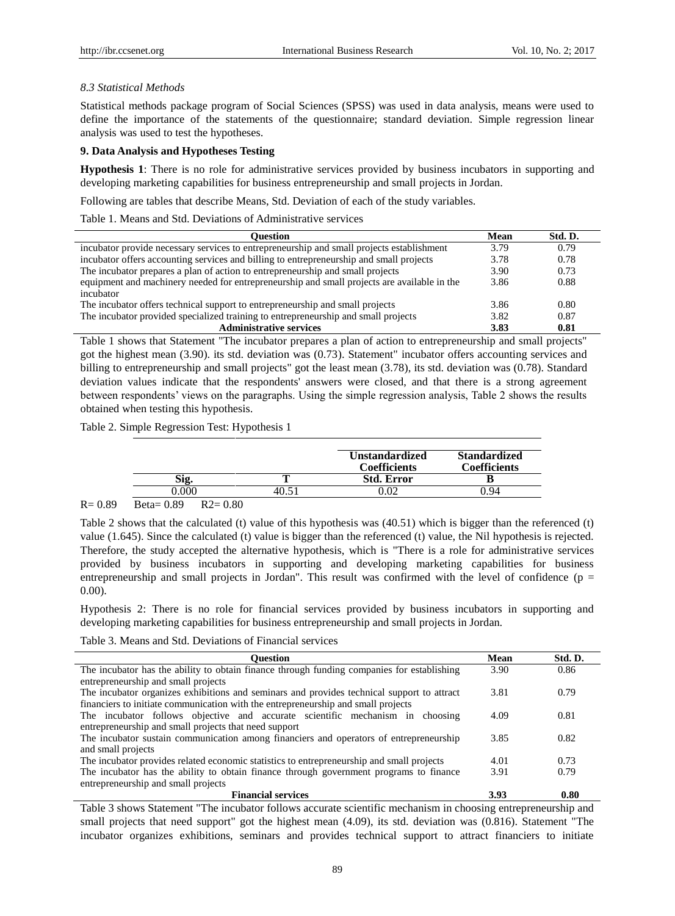## *8.3 Statistical Methods*

Statistical methods package program of Social Sciences (SPSS) was used in data analysis, means were used to define the importance of the statements of the questionnaire; standard deviation. Simple regression linear analysis was used to test the hypotheses.

## **9. Data Analysis and Hypotheses Testing**

**Hypothesis 1**: There is no role for administrative services provided by business incubators in supporting and developing marketing capabilities for business entrepreneurship and small projects in Jordan.

Following are tables that describe Means, Std. Deviation of each of the study variables.

Table 1. Means and Std. Deviations of Administrative services

| Ouestion                                                                                    |      | Std. D. |
|---------------------------------------------------------------------------------------------|------|---------|
| incubator provide necessary services to entrepreneurship and small projects establishment   | 3.79 | 0.79    |
| incubator offers accounting services and billing to entrepreneurship and small projects     | 3.78 | 0.78    |
| The incubator prepares a plan of action to entrepreneurship and small projects              | 3.90 | 0.73    |
| equipment and machinery needed for entrepreneurship and small projects are available in the | 3.86 | 0.88    |
| incubator                                                                                   |      |         |
| The incubator offers technical support to entrepreneurship and small projects               | 3.86 | 0.80    |
| The incubator provided specialized training to entrepreneurship and small projects          | 3.82 | 0.87    |
| <b>Administrative services</b>                                                              | 3.83 | 0.81    |

Table 1 shows that Statement "The incubator prepares a plan of action to entrepreneurship and small projects" got the highest mean (3.90). its std. deviation was (0.73). Statement" incubator offers accounting services and billing to entrepreneurship and small projects" got the least mean (3.78), its std. deviation was (0.78). Standard deviation values indicate that the respondents' answers were closed, and that there is a strong agreement between respondents' views on the paragraphs. Using the simple regression analysis, Table 2 shows the results obtained when testing this hypothesis.

Table 2. Simple Regression Test: Hypothesis 1

|    | <b>Unstandardized</b><br><b>Coefficients</b> | <b>Standardized</b><br>Coefficients |
|----|----------------------------------------------|-------------------------------------|
|    | <b>Std. Error</b>                            |                                     |
| 40 |                                              | 94                                  |

 $R = 0.89$  Beta= 0.89 R2= 0.80

Table 2 shows that the calculated (t) value of this hypothesis was (40.51) which is bigger than the referenced (t) value (1.645). Since the calculated (t) value is bigger than the referenced (t) value, the Nil hypothesis is rejected. Therefore, the study accepted the alternative hypothesis, which is "There is a role for administrative services provided by business incubators in supporting and developing marketing capabilities for business entrepreneurship and small projects in Jordan". This result was confirmed with the level of confidence ( $p =$ 0.00).

Hypothesis 2: There is no role for financial services provided by business incubators in supporting and developing marketing capabilities for business entrepreneurship and small projects in Jordan.

Table 3. Means and Std. Deviations of Financial services

| <b>Ouestion</b>                                                                            | Mean | Std. D. |
|--------------------------------------------------------------------------------------------|------|---------|
| The incubator has the ability to obtain finance through funding companies for establishing | 3.90 | 0.86    |
| entrepreneurship and small projects                                                        |      |         |
| The incubator organizes exhibitions and seminars and provides technical support to attract | 3.81 | 0.79    |
| financiers to initiate communication with the entrepreneurship and small projects          |      |         |
| The incubator follows objective and accurate scientific mechanism in choosing              | 4.09 | 0.81    |
| entrepreneurship and small projects that need support                                      |      |         |
| The incubator sustain communication among financiers and operators of entrepreneurship     | 3.85 | 0.82    |
| and small projects                                                                         |      |         |
| The incubator provides related economic statistics to entrepreneurship and small projects  | 4.01 | 0.73    |
| The incubator has the ability to obtain finance through government programs to finance     | 3.91 | 0.79    |
| entrepreneurship and small projects                                                        |      |         |
| <b>Financial services</b>                                                                  | 3.93 | 0.80    |

Table 3 shows Statement "The incubator follows accurate scientific mechanism in choosing entrepreneurship and small projects that need support" got the highest mean (4.09), its std. deviation was (0.816). Statement "The incubator organizes exhibitions, seminars and provides technical support to attract financiers to initiate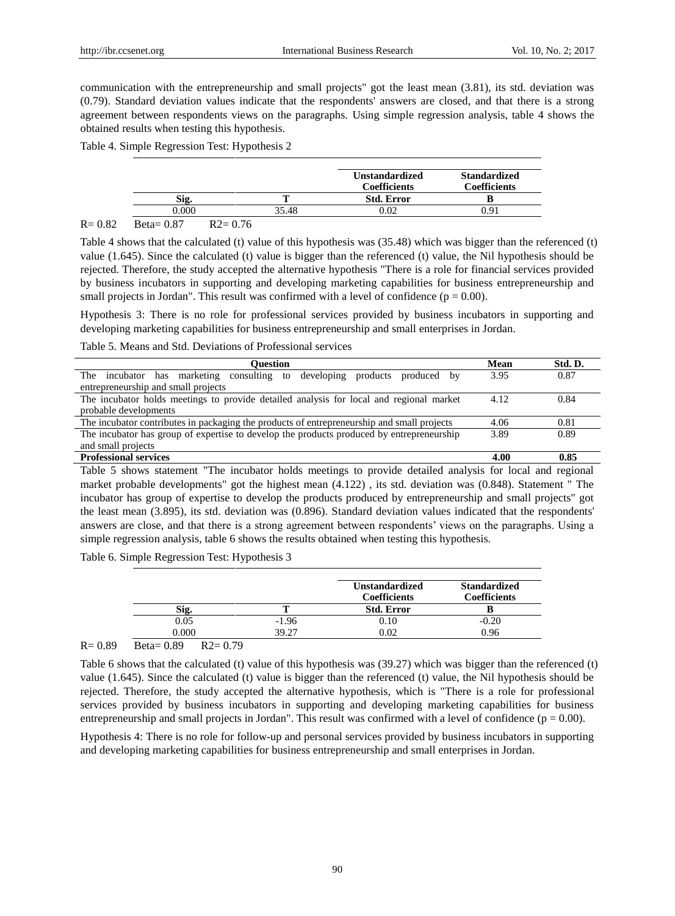communication with the entrepreneurship and small projects" got the least mean (3.81), its std. deviation was (0.79). Standard deviation values indicate that the respondents' answers are closed, and that there is a strong agreement between respondents views on the paragraphs. Using simple regression analysis, table 4 shows the obtained results when testing this hypothesis.

## Table 4. Simple Regression Test: Hypothesis 2

|      |                                                                            |       | <b>Unstandardized</b><br><b>Coefficients</b> | <b>Standardized</b><br><b>Coefficients</b> |
|------|----------------------------------------------------------------------------|-------|----------------------------------------------|--------------------------------------------|
|      | Sig.                                                                       |       | <b>Std. Error</b>                            |                                            |
|      | 0.000                                                                      | 35.48 | 0.02                                         | 1.91                                       |
| 0.02 | $D_{\text{max}} = 0.07$<br>$\mathbf{D} \mathbf{A}$ $\mathbf{A} \mathbf{B}$ |       |                                              |                                            |

## $R = 0.82$  Beta= 0.87 R2= 0.76

Table 4 shows that the calculated (t) value of this hypothesis was (35.48) which was bigger than the referenced (t) value (1.645). Since the calculated (t) value is bigger than the referenced (t) value, the Nil hypothesis should be rejected. Therefore, the study accepted the alternative hypothesis "There is a role for financial services provided by business incubators in supporting and developing marketing capabilities for business entrepreneurship and small projects in Jordan". This result was confirmed with a level of confidence  $(p = 0.00)$ .

Hypothesis 3: There is no role for professional services provided by business incubators in supporting and developing marketing capabilities for business entrepreneurship and small enterprises in Jordan.

Table 5. Means and Std. Deviations of Professional services

| <b>Ouestion</b>                                                                            | Mean | Std. D. |
|--------------------------------------------------------------------------------------------|------|---------|
| marketing consulting to developing products produced by<br>The<br>incubator has            | 3.95 | 0.87    |
| entrepreneurship and small projects                                                        |      |         |
| The incubator holds meetings to provide detailed analysis for local and regional market    | 4.12 | 0.84    |
| probable developments                                                                      |      |         |
| The incubator contributes in packaging the products of entrepreneurship and small projects | 4.06 | 0.81    |
| The incubator has group of expertise to develop the products produced by entrepreneurship  | 3.89 | 0.89    |
| and small projects                                                                         |      |         |
| <b>Professional services</b>                                                               | 4.00 | 0.85    |

Table 5 shows statement "The incubator holds meetings to provide detailed analysis for local and regional market probable developments" got the highest mean (4.122) , its std. deviation was (0.848). Statement " The incubator has group of expertise to develop the products produced by entrepreneurship and small projects" got the least mean (3.895), its std. deviation was (0.896). Standard deviation values indicated that the respondents' answers are close, and that there is a strong agreement between respondents' views on the paragraphs. Using a simple regression analysis, table 6 shows the results obtained when testing this hypothesis.

Table 6. Simple Regression Test: Hypothesis 3

|       |         | <b>Unstandardized</b><br><b>Coefficients</b> | <b>Standardized</b><br><b>Coefficients</b> |
|-------|---------|----------------------------------------------|--------------------------------------------|
| Sig.  |         | <b>Std. Error</b>                            |                                            |
| 0.05  | $-1.96$ | 0.10                                         | $-0.20$                                    |
| 0.000 | 39.27   | 0.02                                         | 0.96                                       |

R= 0.89 Beta= 0.89 R2= 0.79

Table 6 shows that the calculated (t) value of this hypothesis was (39.27) which was bigger than the referenced (t) value (1.645). Since the calculated (t) value is bigger than the referenced (t) value, the Nil hypothesis should be rejected. Therefore, the study accepted the alternative hypothesis, which is "There is a role for professional services provided by business incubators in supporting and developing marketing capabilities for business entrepreneurship and small projects in Jordan". This result was confirmed with a level of confidence ( $p = 0.00$ ).

Hypothesis 4: There is no role for follow-up and personal services provided by business incubators in supporting and developing marketing capabilities for business entrepreneurship and small enterprises in Jordan.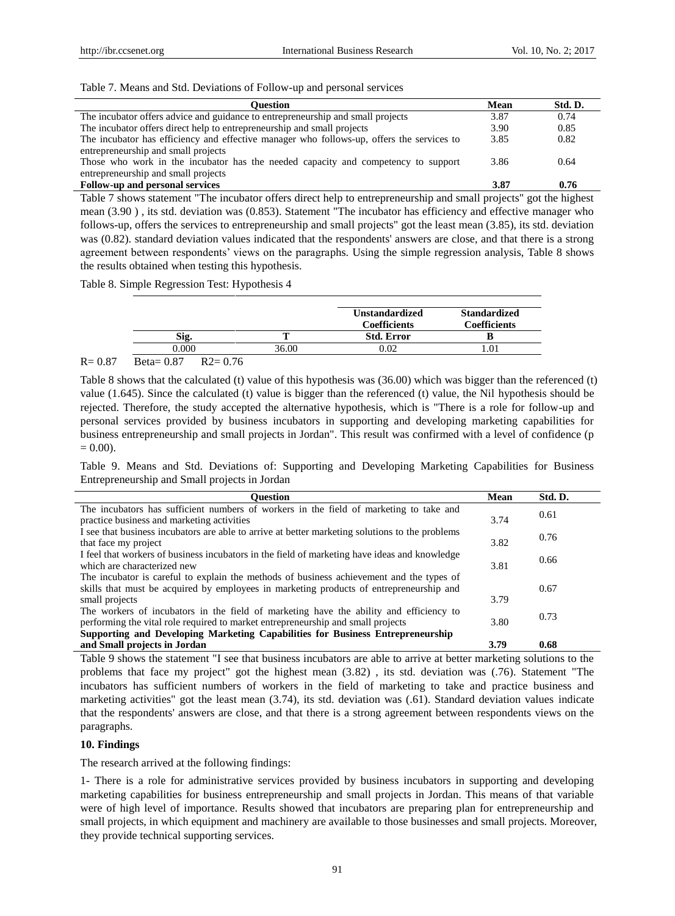## Table 7. Means and Std. Deviations of Follow-up and personal services

| <b>Ouestion</b>                                                                           |      | Std. D. |
|-------------------------------------------------------------------------------------------|------|---------|
| The incubator offers advice and guidance to entrepreneurship and small projects           | 3.87 | 0.74    |
| The incubator offers direct help to entrepreneurship and small projects                   | 3.90 | 0.85    |
| The incubator has efficiency and effective manager who follows-up, offers the services to | 3.85 | 0.82    |
| entrepreneurship and small projects                                                       |      |         |
| Those who work in the incubator has the needed capacity and competency to support         | 3.86 | 0.64    |
| entrepreneurship and small projects                                                       |      |         |
| Follow-up and personal services                                                           | 3.87 | 0.76    |

Table 7 shows statement "The incubator offers direct help to entrepreneurship and small projects" got the highest mean (3.90 ) , its std. deviation was (0.853). Statement "The incubator has efficiency and effective manager who follows-up, offers the services to entrepreneurship and small projects" got the least mean (3.85), its std. deviation was (0.82). standard deviation values indicated that the respondents' answers are close, and that there is a strong agreement between respondents' views on the paragraphs. Using the simple regression analysis, Table 8 shows the results obtained when testing this hypothesis.

Table 8. Simple Regression Test: Hypothesis 4

|                | <b>Coefficients</b> | <b>Coefficients</b> |
|----------------|---------------------|---------------------|
| Sig.           | <b>Std. Error</b>   |                     |
| 0.000<br>36.00 | 0.02                |                     |

# R= 0.87 Beta= 0.87 R2= 0.76

Table 8 shows that the calculated (t) value of this hypothesis was (36.00) which was bigger than the referenced (t) value (1.645). Since the calculated (t) value is bigger than the referenced (t) value, the Nil hypothesis should be rejected. Therefore, the study accepted the alternative hypothesis, which is "There is a role for follow-up and personal services provided by business incubators in supporting and developing marketing capabilities for business entrepreneurship and small projects in Jordan". This result was confirmed with a level of confidence (p  $= 0.00$ ).

Table 9. Means and Std. Deviations of: Supporting and Developing Marketing Capabilities for Business Entrepreneurship and Small projects in Jordan

| Ouestion                                                                                        | Mean | Std. D. |
|-------------------------------------------------------------------------------------------------|------|---------|
| The incubators has sufficient numbers of workers in the field of marketing to take and          |      | 0.61    |
| practice business and marketing activities                                                      | 3.74 |         |
| I see that business incubators are able to arrive at better marketing solutions to the problems |      | 0.76    |
| that face my project                                                                            | 3.82 |         |
| I feel that workers of business incubators in the field of marketing have ideas and knowledge   |      | 0.66    |
| which are characterized new                                                                     | 3.81 |         |
| The incubator is careful to explain the methods of business achievement and the types of        |      |         |
| skills that must be acquired by employees in marketing products of entrepreneurship and         |      | 0.67    |
| small projects                                                                                  | 3.79 |         |
| The workers of incubators in the field of marketing have the ability and efficiency to          |      | 0.73    |
| performing the vital role required to market entrepreneurship and small projects                | 3.80 |         |
| Supporting and Developing Marketing Capabilities for Business Entrepreneurship                  |      |         |
| and Small projects in Jordan                                                                    | 3.79 | 0.68    |

Table 9 shows the statement "I see that business incubators are able to arrive at better marketing solutions to the problems that face my project" got the highest mean (3.82) , its std. deviation was (.76). Statement "The incubators has sufficient numbers of workers in the field of marketing to take and practice business and marketing activities" got the least mean (3.74), its std. deviation was (.61). Standard deviation values indicate that the respondents' answers are close, and that there is a strong agreement between respondents views on the paragraphs.

## **10. Findings**

The research arrived at the following findings:

1- There is a role for administrative services provided by business incubators in supporting and developing marketing capabilities for business entrepreneurship and small projects in Jordan. This means of that variable were of high level of importance. Results showed that incubators are preparing plan for entrepreneurship and small projects, in which equipment and machinery are available to those businesses and small projects. Moreover, they provide technical supporting services.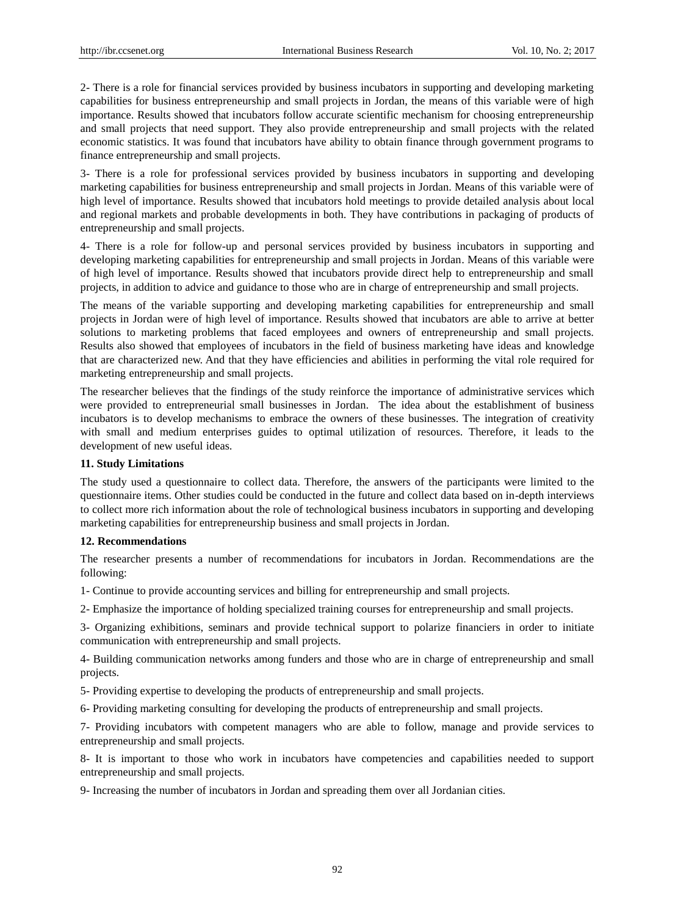2- There is a role for financial services provided by business incubators in supporting and developing marketing capabilities for business entrepreneurship and small projects in Jordan, the means of this variable were of high importance. Results showed that incubators follow accurate scientific mechanism for choosing entrepreneurship and small projects that need support. They also provide entrepreneurship and small projects with the related economic statistics. It was found that incubators have ability to obtain finance through government programs to finance entrepreneurship and small projects.

3- There is a role for professional services provided by business incubators in supporting and developing marketing capabilities for business entrepreneurship and small projects in Jordan. Means of this variable were of high level of importance. Results showed that incubators hold meetings to provide detailed analysis about local and regional markets and probable developments in both. They have contributions in packaging of products of entrepreneurship and small projects.

4- There is a role for follow-up and personal services provided by business incubators in supporting and developing marketing capabilities for entrepreneurship and small projects in Jordan. Means of this variable were of high level of importance. Results showed that incubators provide direct help to entrepreneurship and small projects, in addition to advice and guidance to those who are in charge of entrepreneurship and small projects.

The means of the variable supporting and developing marketing capabilities for entrepreneurship and small projects in Jordan were of high level of importance. Results showed that incubators are able to arrive at better solutions to marketing problems that faced employees and owners of entrepreneurship and small projects. Results also showed that employees of incubators in the field of business marketing have ideas and knowledge that are characterized new. And that they have efficiencies and abilities in performing the vital role required for marketing entrepreneurship and small projects.

The researcher believes that the findings of the study reinforce the importance of administrative services which were provided to entrepreneurial small businesses in Jordan. The idea about the establishment of business incubators is to develop mechanisms to embrace the owners of these businesses. The integration of creativity with small and medium enterprises guides to optimal utilization of resources. Therefore, it leads to the development of new useful ideas.

## **11. Study Limitations**

The study used a questionnaire to collect data. Therefore, the answers of the participants were limited to the questionnaire items. Other studies could be conducted in the future and collect data based on in-depth interviews to collect more rich information about the role of technological business incubators in supporting and developing marketing capabilities for entrepreneurship business and small projects in Jordan.

## **12. Recommendations**

The researcher presents a number of recommendations for incubators in Jordan. Recommendations are the following:

1- Continue to provide accounting services and billing for entrepreneurship and small projects.

2- Emphasize the importance of holding specialized training courses for entrepreneurship and small projects.

3- Organizing exhibitions, seminars and provide technical support to polarize financiers in order to initiate communication with entrepreneurship and small projects.

4- Building communication networks among funders and those who are in charge of entrepreneurship and small projects.

5- Providing expertise to developing the products of entrepreneurship and small projects.

6- Providing marketing consulting for developing the products of entrepreneurship and small projects.

7- Providing incubators with competent managers who are able to follow, manage and provide services to entrepreneurship and small projects.

8- It is important to those who work in incubators have competencies and capabilities needed to support entrepreneurship and small projects.

9- Increasing the number of incubators in Jordan and spreading them over all Jordanian cities.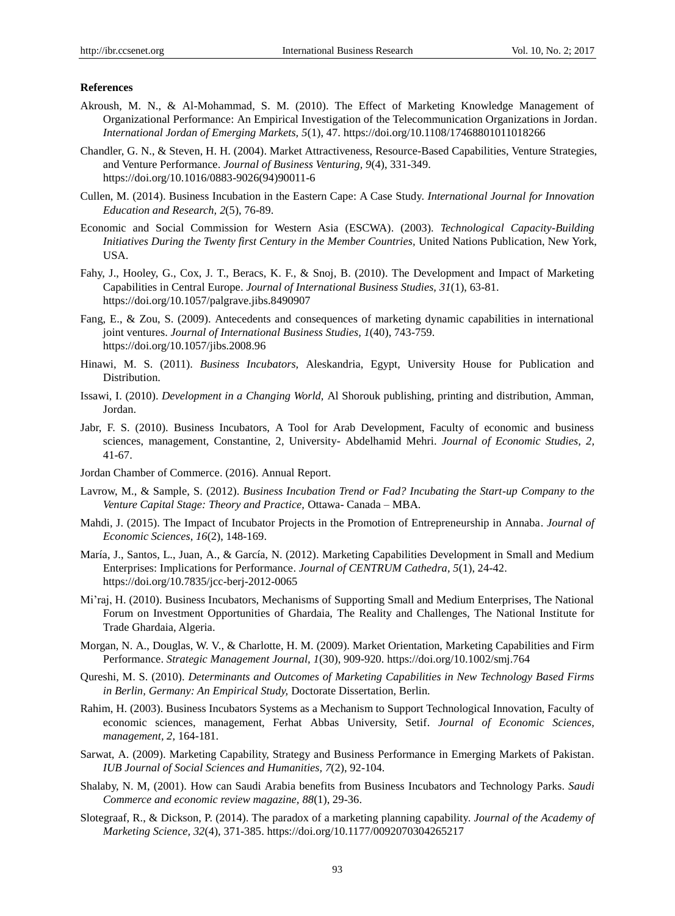#### **References**

- Akroush, M. N., & Al-Mohammad, S. M. (2010). The Effect of Marketing Knowledge Management of Organizational Performance: An Empirical Investigation of the Telecommunication Organizations in Jordan. *International Jordan of Emerging Markets, 5*(1), 47. <https://doi.org/10.1108/17468801011018266>
- Chandler, G. N., & Steven, H. H. (2004). Market Attractiveness, Resource-Based Capabilities, Venture Strategies, and Venture Performance. *Journal of Business Venturing, 9*(4), 331-349. [https://doi.org/10.1016/0883-9026\(94\)90011-6](https://doi.org/10.1016/0883-9026%2894%2990011-6)
- Cullen, M. (2014). Business Incubation in the Eastern Cape: A Case Study. *International Journal for Innovation Education and Research, 2*(5), 76-89.
- Economic and Social Commission for Western Asia (ESCWA). (2003). *Technological Capacity-Building Initiatives During the Twenty first Century in the Member Countries,* United Nations Publication, New York, USA.
- Fahy, J., Hooley, G., Cox, J. T., Beracs, K. F., & Snoj, B. (2010). The Development and Impact of Marketing Capabilities in Central Europe. *Journal of International Business Studies, 31*(1), 63-81. <https://doi.org/10.1057/palgrave.jibs.8490907>
- Fang, E., & Zou, S. (2009). Antecedents and consequences of marketing dynamic capabilities in international joint ventures. *Journal of International Business Studies, 1*(40), 743-759. <https://doi.org/10.1057/jibs.2008.96>
- Hinawi, M. S. (2011). *Business Incubators,* Aleskandria, Egypt, University House for Publication and Distribution.
- Issawi, I. (2010). *Development in a Changing World,* Al Shorouk publishing, printing and distribution, Amman, Jordan.
- Jabr, F. S. (2010). Business Incubators, A Tool for Arab Development, Faculty of economic and business sciences, management, Constantine, 2, University- Abdelhamid Mehri. *Journal of Economic Studies, 2,*  41-67.
- Jordan Chamber of Commerce. (2016). Annual Report.
- Lavrow, M., & Sample, S. (2012). *Business Incubation Trend or Fad? Incubating the Start-up Company to the Venture Capital Stage: Theory and Practice,* Ottawa- Canada – MBA.
- Mahdi, J. (2015). The Impact of Incubator Projects in the Promotion of Entrepreneurship in Annaba. *Journal of Economic Sciences*, *16*(2), 148-169.
- Mar á, J., Santos, L., Juan, A., & Garc á, N. (2012). Marketing Capabilities Development in Small and Medium Enterprises: Implications for Performance. *Journal of CENTRUM Cathedra, 5*(1), 24-42. <https://doi.org/10.7835/jcc-berj-2012-0065>
- Mi'raj, H. (2010). Business Incubators, Mechanisms of Supporting Small and Medium Enterprises, The National Forum on Investment Opportunities of Ghardaia, The Reality and Challenges, The National Institute for Trade Ghardaia, Algeria.
- Morgan, N. A., Douglas, W. V., & Charlotte, H. M. (2009). Market Orientation, Marketing Capabilities and Firm Performance. *Strategic Management Journal, 1*(30), 909-920. <https://doi.org/10.1002/smj.764>
- Qureshi, M. S. (2010). *Determinants and Outcomes of Marketing Capabilities in New Technology Based Firms in Berlin, Germany: An Empirical Study,* Doctorate Dissertation, Berlin.
- Rahim, H. (2003). Business Incubators Systems as a Mechanism to Support Technological Innovation, Faculty of economic sciences, management, Ferhat Abbas University, Setif. *Journal of Economic Sciences, management, 2,* 164-181.
- Sarwat, A. (2009). Marketing Capability, Strategy and Business Performance in Emerging Markets of Pakistan. *IUB Journal of Social Sciences and Humanities, 7*(2), 92-104.
- Shalaby, N. M, (2001). How can Saudi Arabia benefits from Business Incubators and Technology Parks. *Saudi Commerce and economic review magazine, 88*(1), 29-36.
- Slotegraaf, R., & Dickson, P. (2014). The paradox of a marketing planning capability. *Journal of the Academy of Marketing Science, 32*(4), 371-385. <https://doi.org/10.1177/0092070304265217>